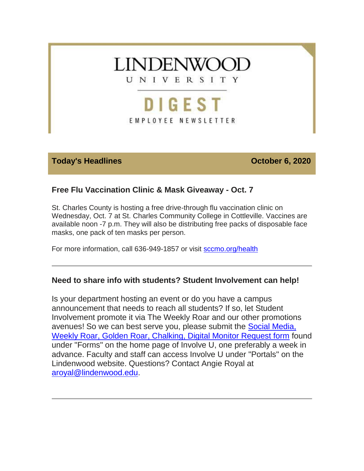

EMPLOYEE NEWSLETTER

#### **Today's Headlines Contract Contract Contract Contract Contract Contract Contract Contract Contract Contract Contract Contract Contract Contract Contract Contract Contract Contract Contract Contract Contract Contract Con**

# **Free Flu Vaccination Clinic & Mask Giveaway - Oct. 7**

St. Charles County is hosting a free drive-through flu vaccination clinic on Wednesday, Oct. 7 at St. Charles Community College in Cottleville. Vaccines are available noon -7 p.m. They will also be distributing free packs of disposable face masks, one pack of ten masks per person.

For more information, call 636-949-1857 or visit [sccmo.org/health](https://custapp.marketvolt.com/link/CUm7QkQA5l?CM=1594777281&X=70525052)

# **Need to share info with students? Student Involvement can help!**

Is your department hosting an event or do you have a campus announcement that needs to reach all students? If so, let Student Involvement promote it via The Weekly Roar and our other promotions avenues! So we can best serve you, please submit the [Social Media,](https://custapp.marketvolt.com/link/y2u8btGrfI?CM=1594777281&X=70525052)  [Weekly Roar, Golden Roar, Chalking, Digital Monitor Request form](https://custapp.marketvolt.com/link/y2u8btGrfI?CM=1594777281&X=70525052) found under "Forms" on the home page of Involve U, one preferably a week in advance. Faculty and staff can access Involve U under "Portals" on the Lindenwood website. Questions? Contact Angie Royal at [aroyal@lindenwood.edu](mailto:aroyal@lindenwood.edu)[.](https://custapp.marketvolt.com/link/CUm7QkQA5l?CM=1594777281&X=70525052)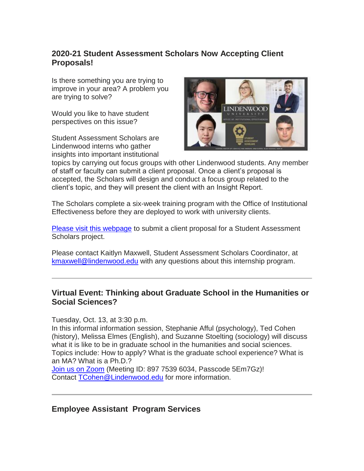# **2020-21 Student Assessment Scholars Now Accepting Client Proposals!**

Is there something you are trying to improve in your area? A problem you are trying to solve?

Would you like to have student perspectives on this issue?

Student Assessment Scholars are Lindenwood interns who gather insights into important institutional



topics by carrying out focus groups with other Lindenwood students. Any member of staff or faculty can submit a client proposal. Once a client's proposal is accepted, the Scholars will design and conduct a focus group related to the client's topic, and they will present the client with an Insight Report.

The Scholars complete a six-week training program with the Office of Institutional Effectiveness before they are deployed to work with university clients.

[Please visit this webpage](https://custapp.marketvolt.com/link/foIn9oVgdW?CM=1594777281&X=70525052) to submit a client proposal for a Student Assessment Scholars project.

Please contact Kaitlyn Maxwell, Student Assessment Scholars Coordinator, at [kmaxwell@lindenwood.edu](mailto:kmaxwell@lindenwood.edu) with any questions about this internship program.

#### **Virtual Event: Thinking about Graduate School in the Humanities or Social Sciences?**

Tuesday, Oct. 13, at 3:30 p.m.

In this informal information session, Stephanie Afful (psychology), Ted Cohen (history), Melissa Elmes (English), and Suzanne Stoelting (sociology) will discuss what it is like to be in graduate school in the humanities and social sciences. Topics include: How to apply? What is the graduate school experience? What is an MA? What is a Ph.D.?

[Join us on Zoom](https://custapp.marketvolt.com/link/qGecC5uFcm?CM=1594777281&X=70525052) (Meeting ID: 897 7539 6034, Passcode 5Em7Gz)! Contact [TCohen@Lindenwood.edu](mailto:TCohen@Lindenwood.edu) for more information.

**Employee Assistant Program Services**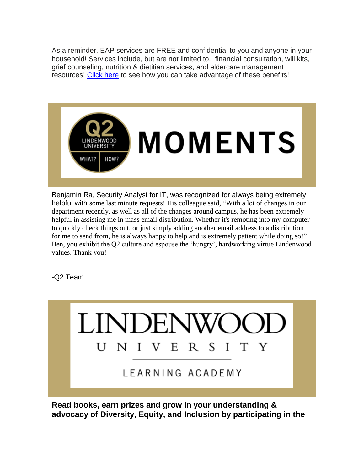As a reminder, EAP services are FREE and confidential to you and anyone in your household! Services include, but are not limited to, financial consultation, will kits, grief counseling, nutrition & dietitian services, and eldercare management resources! [Click here](https://custapp.marketvolt.com/link/mSb9m99xZI?CM=1594777281&X=70525052) to see how you can take advantage of these benefits!



Benjamin Ra, Security Analyst for IT, was recognized for always being extremely helpful with some last minute requests! His colleague said, "With a lot of changes in our department recently, as well as all of the changes around campus, he has been extremely helpful in assisting me in mass email distribution. Whether it's remoting into my computer to quickly check things out, or just simply adding another email address to a distribution for me to send from, he is always happy to help and is extremely patient while doing so!" Ben, you exhibit the Q2 culture and espouse the 'hungry', hardworking virtue Lindenwood values. Thank you!

-Q2 Team



**Read books, earn prizes and grow in your understanding & advocacy of Diversity, Equity, and Inclusion by participating in the**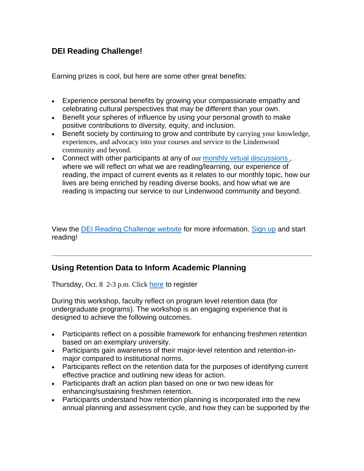# **DEI Reading Challenge!**

Earning prizes is cool, but here are some other great benefits:

- Experience personal benefits by growing your compassionate empathy and celebrating cultural perspectives that may be different than your own.
- Benefit your spheres of influence by using your personal growth to make positive contributions to diversity, equity, and inclusion.
- Benefit society by continuing to grow and contribute by carrying your knowledge, experiences, and advocacy into your courses and service to the Lindenwood community and beyond.
- Connect with other participants at any of our [monthly virtual discussions](https://custapp.marketvolt.com/link/6SAMHAEPmI?CM=1594777281&X=70525052) , where we will reflect on what we are reading/learning, our experience of reading, the impact of current events as it relates to our monthly topic, how our lives are being enriched by reading diverse books, and how what we are reading is impacting our service to our Lindenwood community and beyond.

View the [DEI Reading Challenge website](https://custapp.marketvolt.com/link/7CkDlQQvo5?CM=1594777281&X=70525052) for more information. [Sign up](https://custapp.marketvolt.com/link/dfB4Ig8Rqe?CM=1594777281&X=70525052) and start reading!

# **Using Retention Data to Inform Academic Planning**

Thursday, Oct. 8 2-3 p.m. Click [here](https://custapp.marketvolt.com/link/YeKq96LyPX?CM=1594777281&X=70525052) to register

During this workshop, faculty reflect on program level retention data (for undergraduate programs). The workshop is an engaging experience that is designed to achieve the following outcomes.

- Participants reflect on a possible framework for enhancing freshmen retention based on an exemplary university.
- Participants gain awareness of their major-level retention and retention-inmajor compared to institutional norms.
- Participants reflect on the retention data for the purposes of identifying current effective practice and outlining new ideas for action.
- Participants draft an action plan based on one or two new ideas for enhancing/sustaining freshmen retention.
- Participants understand how retention planning is incorporated into the new annual planning and assessment cycle, and how they can be supported by the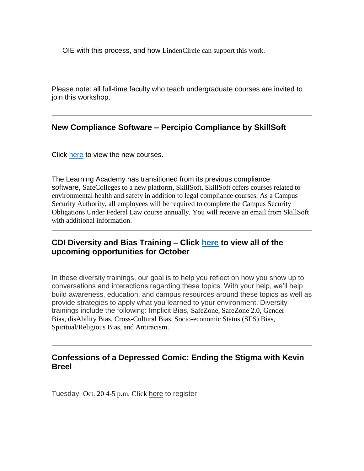OIE with this process, and how LindenCircle can support this work.

Please note: all full-time faculty who teach undergraduate courses are invited to join this workshop.

# **New Compliance Software – Percipio Compliance by SkillSoft**

Click [here](https://custapp.marketvolt.com/link/AHkmlMl88I?CM=1594777281&X=70525052) to view the new courses.

The Learning Academy has transitioned from its previous compliance software, SafeColleges to a new platform, SkillSoft. SkillSoft offers courses related to environmental health and safety in addition to legal compliance courses. As a Campus Security Authority, all employees will be required to complete the Campus Security Obligations Under Federal Law course annually. You will receive an email from SkillSoft with additional information.

# **CDI Diversity and Bias Training – Click [here](https://custapp.marketvolt.com/link/VfmQXSyUAp?CM=1594777281&X=70525052) to view all of the upcoming opportunities for October**

In these diversity trainings, our goal is to help you reflect on how you show up to conversations and interactions regarding these topics. With your help, we'll help build awareness, education, and campus resources around these topics as well as provide strategies to apply what you learned to your environment. Diversity trainings include the following: Implicit Bias, SafeZone, SafeZone 2.0, Gender Bias, disAbility Bias, Cross-Cultural Bias, Socio-economic Status (SES) Bias, Spiritual/Religious Bias, and Antiracism.

# **Confessions of a Depressed Comic: Ending the Stigma with Kevin Breel**

Tuesday, Oct. 20 4-5 p.m. Click [here](https://custapp.marketvolt.com/link/qlexXExfgN?CM=1594777281&X=70525052) to register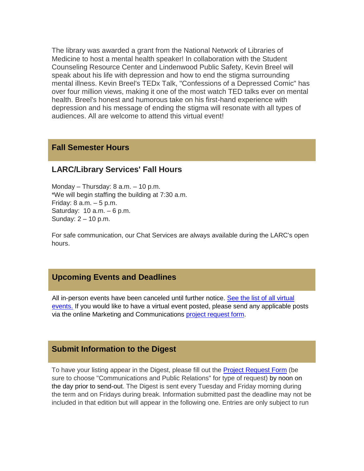The library was awarded a grant from the National Network of Libraries of Medicine to host a mental health speaker! In collaboration with the Student Counseling Resource Center and Lindenwood Public Safety, Kevin Breel will speak about his life with depression and how to end the stigma surrounding mental illness. Kevin Breel's TEDx Talk, "Confessions of a Depressed Comic" has over four million views, making it one of the most watch TED talks ever on mental health. Breel's honest and humorous take on his first-hand experience with depression and his message of ending the stigma will resonate with all types of audiences. All are welcome to attend this virtual event!

#### **Fall Semester Hours**

#### **LARC/Library Services' Fall Hours**

Monday – Thursday: 8 a.m. – 10 p.m. \*We will begin staffing the building at 7:30 a.m. Friday:  $8$  a.m.  $-5$  p.m. Saturday: 10 a.m. – 6 p.m. Sunday: 2 – 10 p.m.

For safe communication, our Chat Services are always available during the LARC's open hours.

#### **Upcoming Events and Deadlines**

All in-person events have been canceled until further notice. [See the list of all virtual](https://custapp.marketvolt.com/link/tpiXAVQqW7?CM=1594777281&X=70525052)  [events.](https://custapp.marketvolt.com/link/tpiXAVQqW7?CM=1594777281&X=70525052) If you would like to have a virtual event posted, please send any applicable posts via the online Marketing and Communications project [request](https://custapp.marketvolt.com/link/ElLsKiaFKS?CM=1594777281&X=70525052) form.

#### **Submit Information to the Digest**

To have your listing appear in the Digest, please fill out the [Project Request Form](https://custapp.marketvolt.com/link/ElLsKiaFKS?CM=1594777281&X=70525052) (be sure to choose "Communications and Public Relations" for type of request) by noon on the day prior to send-out. The Digest is sent every Tuesday and Friday morning during the term and on Fridays during break. Information submitted past the deadline may not be included in that edition but will appear in the following one. Entries are only subject to run